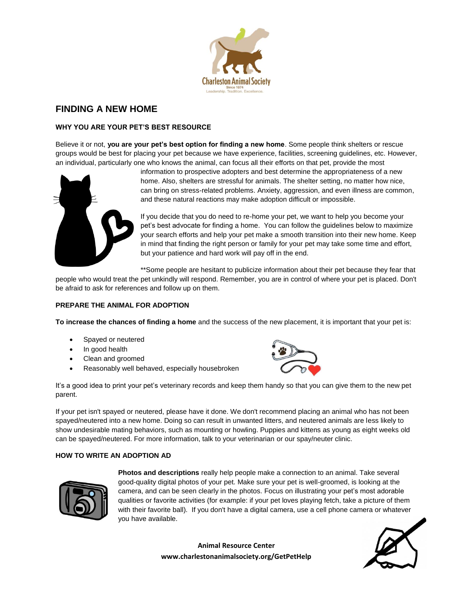

# **FINDING A NEW HOME**

# **WHY YOU ARE YOUR PET'S BEST RESOURCE**

Believe it or not, **you are your pet's best option for finding a new home**. Some people think shelters or rescue groups would be best for placing your pet because we have experience, facilities, screening guidelines, etc. However, an individual, particularly one who knows the animal, can focus all their efforts on that pet, provide the most



information to prospective adopters and best determine the appropriateness of a new home. Also, shelters are stressful for animals. The shelter setting, no matter how nice, can bring on stress-related problems. Anxiety, aggression, and even illness are common, and these natural reactions may make adoption difficult or impossible.

If you decide that you do need to re-home your pet, we want to help you become your pet's best advocate for finding a home. You can follow the guidelines below to maximize your search efforts and help your pet make a smooth transition into their new home. Keep in mind that finding the right person or family for your pet may take some time and effort, but your patience and hard work will pay off in the end.

\*\*Some people are hesitant to publicize information about their pet because they fear that

people who would treat the pet unkindly will respond. Remember, you are in control of where your pet is placed. Don't be afraid to ask for references and follow up on them.

## **PREPARE THE ANIMAL FOR ADOPTION**

**To increase the chances of finding a home** and the success of the new placement, it is important that your pet is:

- Spayed or neutered
- In good health
- Clean and groomed
- Reasonably well behaved, especially housebroken



It's a good idea to print your pet's veterinary records and keep them handy so that you can give them to the new pet parent.

If your pet isn't spayed or neutered, please have it done. We don't recommend placing an animal who has not been spayed/neutered into a new home. Doing so can result in unwanted litters, and neutered animals are less likely to show undesirable mating behaviors, such as mounting or howling. Puppies and kittens as young as eight weeks old can be spayed/neutered. For more information, talk to your veterinarian or our spay/neuter clinic.

# **HOW TO WRITE AN ADOPTION AD**



**Photos and descriptions** really help people make a connection to an animal. Take several good-quality digital photos of your pet. Make sure your pet is well-groomed, is looking at the camera, and can be seen clearly in the photos. Focus on illustrating your pet's most adorable qualities or favorite activities (for example: if your pet loves playing fetch, take a picture of them with their favorite ball). If you don't have a digital camera, use a cell phone camera or whatever you have available.

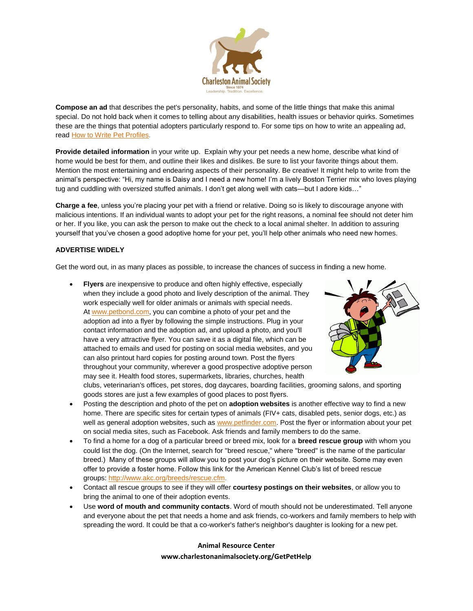

**Compose an ad** that describes the pet's personality, habits, and some of the little things that make this animal special. Do not hold back when it comes to telling about any disabilities, health issues or behavior quirks. Sometimes these are the things that potential adopters particularly respond to. For some tips on how to write an appealing ad, read [How to Write Pet Profiles.](http://bestfriends.org/Resources/How-To-Write-Pet-Profiles-To-Find-Good-Homes-For-Your-Adoptables/)

**Provide detailed information** in your write up. Explain why your pet needs a new home, describe what kind of home would be best for them, and outline their likes and dislikes. Be sure to list your favorite things about them. Mention the most entertaining and endearing aspects of their personality. Be creative! It might help to write from the animal's perspective: "Hi, my name is Daisy and I need a new home! I'm a lively Boston Terrier mix who loves playing tug and cuddling with oversized stuffed animals. I don't get along well with cats—but I adore kids..."

**Charge a fee**, unless you're placing your pet with a friend or relative. Doing so is likely to discourage anyone with malicious intentions. If an individual wants to adopt your pet for the right reasons, a nominal fee should not deter him or her. If you like, you can ask the person to make out the check to a local animal shelter. In addition to assuring yourself that you've chosen a good adoptive home for your pet, you'll help other animals who need new homes.

#### **ADVERTISE WIDELY**

Get the word out, in as many places as possible, to increase the chances of success in finding a new home.

 **Flyers** are inexpensive to produce and often highly effective, especially when they include a good photo and lively description of the animal. They work especially well for older animals or animals with special needs. At [www.petbond.com,](http://www.petbond.com/) you can combine a photo of your pet and the adoption ad into a flyer by following the simple instructions. Plug in your contact information and the adoption ad, and upload a photo, and you'll have a very attractive flyer. You can save it as a digital file, which can be attached to emails and used for posting on social media websites, and you can also printout hard copies for posting around town. Post the flyers throughout your community, wherever a good prospective adoptive person may see it. Health food stores, supermarkets, libraries, churches, health



clubs, veterinarian's offices, pet stores, dog daycares, boarding facilities, grooming salons, and sporting goods stores are just a few examples of good places to post flyers.

- Posting the description and photo of the pet on **adoption websites** is another effective way to find a new home. There are specific sites for certain types of animals (FIV+ cats, disabled pets, senior dogs, etc.) as well as general adoption websites, such as [www.petfinder.com.](http://www.petfinder.com/) Post the flyer or information about your pet on social media sites, such as Facebook. Ask friends and family members to do the same.
- To find a home for a dog of a particular breed or breed mix, look for a **breed rescue group** with whom you could list the dog. (On the Internet, search for "breed rescue," where "breed" is the name of the particular breed.) Many of these groups will allow you to post your dog's picture on their website. Some may even offer to provide a foster home. Follow this link for the American Kennel Club's list of breed rescue groups: [http://www.akc.org/breeds/rescue.cfm.](http://www.akc.org/breeds/rescue.cfm)
- Contact all rescue groups to see if they will offer **courtesy postings on their websites**, or allow you to bring the animal to one of their adoption events.
- Use **word of mouth and community contacts**. Word of mouth should not be underestimated. Tell anyone and everyone about the pet that needs a home and ask friends, co-workers and family members to help with spreading the word. It could be that a co-worker's father's neighbor's daughter is looking for a new pet.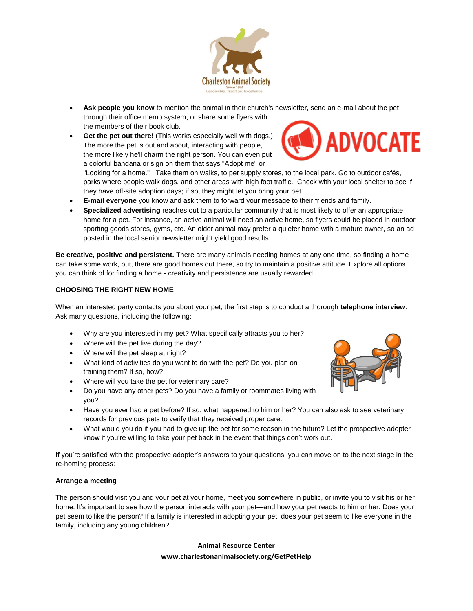

- **Ask people you know** to mention the animal in their church's newsletter, send an e-mail about the pet through their office memo system, or share some flyers with the members of their book club.
- **Get the pet out there!** (This works especially well with dogs.) The more the pet is out and about, interacting with people, the more likely he'll charm the right person. You can even put a colorful bandana or sign on them that says "Adopt me" or



"Looking for a home." Take them on walks, to pet supply stores, to the local park. Go to outdoor cafés, parks where people walk dogs, and other areas with high foot traffic. Check with your local shelter to see if they have off-site adoption days; if so, they might let you bring your pet.

- **E-mail everyone** you know and ask them to forward your message to their friends and family.
- **Specialized advertising** reaches out to a particular community that is most likely to offer an appropriate home for a pet. For instance, an active animal will need an active home, so flyers could be placed in outdoor sporting goods stores, gyms, etc. An older animal may prefer a quieter home with a mature owner, so an ad posted in the local senior newsletter might yield good results.

**Be creative, positive and persistent.** There are many animals needing homes at any one time, so finding a home can take some work, but, there are good homes out there, so try to maintain a positive attitude. Explore all options you can think of for finding a home - creativity and persistence are usually rewarded.

## **CHOOSING THE RIGHT NEW HOME**

When an interested party contacts you about your pet, the first step is to conduct a thorough **telephone interview**. Ask many questions, including the following:

- Why are you interested in my pet? What specifically attracts you to her?
- Where will the pet live during the day?
- Where will the pet sleep at night?
- What kind of activities do you want to do with the pet? Do you plan on training them? If so, how?
- Where will you take the pet for veterinary care?
- Do you have any other pets? Do you have a family or roommates living with you?
- Have you ever had a pet before? If so, what happened to him or her? You can also ask to see veterinary records for previous pets to verify that they received proper care.
- What would you do if you had to give up the pet for some reason in the future? Let the prospective adopter know if you're willing to take your pet back in the event that things don't work out.

If you're satisfied with the prospective adopter's answers to your questions, you can move on to the next stage in the re-homing process:

#### **Arrange a meeting**

The person should visit you and your pet at your home, meet you somewhere in public, or invite you to visit his or her home. It's important to see how the person interacts with your pet—and how your pet reacts to him or her. Does your pet seem to like the person? If a family is interested in adopting your pet, does your pet seem to like everyone in the family, including any young children?

# **Animal Resource Center**

**www.charlestonanimalsociety.org/GetPetHelp**

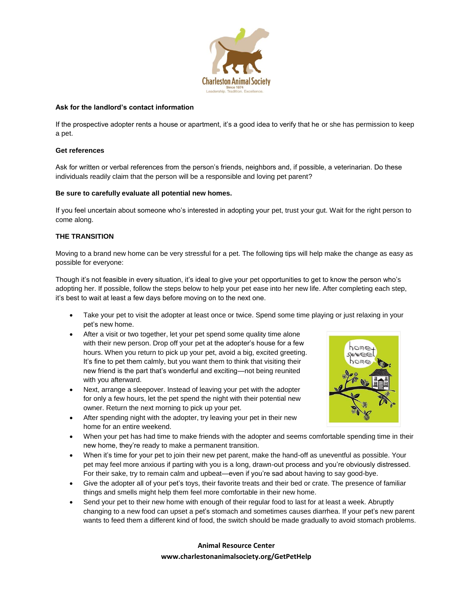

#### **Ask for the landlord's contact information**

If the prospective adopter rents a house or apartment, it's a good idea to verify that he or she has permission to keep a pet.

#### **Get references**

Ask for written or verbal references from the person's friends, neighbors and, if possible, a veterinarian. Do these individuals readily claim that the person will be a responsible and loving pet parent?

#### **Be sure to carefully evaluate all potential new homes.**

If you feel uncertain about someone who's interested in adopting your pet, trust your gut. Wait for the right person to come along.

## **THE TRANSITION**

Moving to a brand new home can be very stressful for a pet. The following tips will help make the change as easy as possible for everyone:

Though it's not feasible in every situation, it's ideal to give your pet opportunities to get to know the person who's adopting her. If possible, follow the steps below to help your pet ease into her new life. After completing each step, it's best to wait at least a few days before moving on to the next one.

- Take your pet to visit the adopter at least once or twice. Spend some time playing or just relaxing in your pet's new home.
- After a visit or two together, let your pet spend some quality time alone with their new person. Drop off your pet at the adopter's house for a few hours. When you return to pick up your pet, avoid a big, excited greeting. It's fine to pet them calmly, but you want them to think that visiting their new friend is the part that's wonderful and exciting—not being reunited with you afterward.
- Next, arrange a sleepover. Instead of leaving your pet with the adopter for only a few hours, let the pet spend the night with their potential new owner. Return the next morning to pick up your pet.
- After spending night with the adopter, try leaving your pet in their new home for an entire weekend.
- When your pet has had time to make friends with the adopter and seems comfortable spending time in their new home, they're ready to make a permanent transition.
- When it's time for your pet to join their new pet parent, make the hand-off as uneventful as possible. Your pet may feel more anxious if parting with you is a long, drawn-out process and you're obviously distressed. For their sake, try to remain calm and upbeat—even if you're sad about having to say good-bye.
- Give the adopter all of your pet's toys, their favorite treats and their bed or crate. The presence of familiar things and smells might help them feel more comfortable in their new home.
- Send your pet to their new home with enough of their regular food to last for at least a week. Abruptly changing to a new food can upset a pet's stomach and sometimes causes diarrhea. If your pet's new parent wants to feed them a different kind of food, the switch should be made gradually to avoid stomach problems.

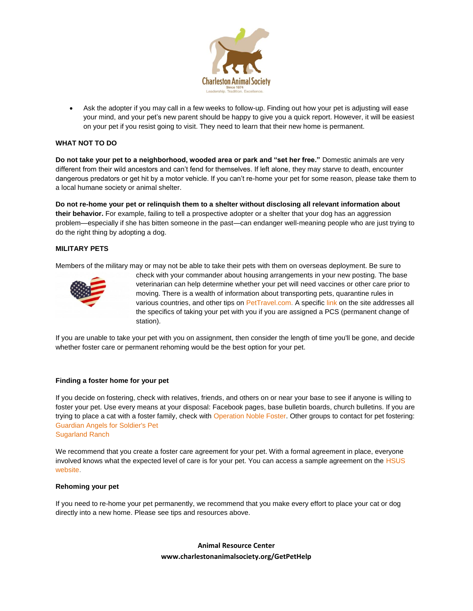

 Ask the adopter if you may call in a few weeks to follow-up. Finding out how your pet is adjusting will ease your mind, and your pet's new parent should be happy to give you a quick report. However, it will be easiest on your pet if you resist going to visit. They need to learn that their new home is permanent.

#### **WHAT NOT TO DO**

**Do not take your pet to a neighborhood, wooded area or park and "set her free."** Domestic animals are very different from their wild ancestors and can't fend for themselves. If left alone, they may starve to death, encounter dangerous predators or get hit by a motor vehicle. If you can't re-home your pet for some reason, please take them to a local humane society or animal shelter.

**Do not re-home your pet or relinquish them to a shelter without disclosing all relevant information about their behavior.** For example, failing to tell a prospective adopter or a shelter that your dog has an aggression problem—especially if she has bitten someone in the past—can endanger well-meaning people who are just trying to do the right thing by adopting a dog.

#### **MILITARY PETS**

Members of the military may or may not be able to take their pets with them on overseas deployment. Be sure to



check with your commander about housing arrangements in your new posting. The base veterinarian can help determine whether your pet will need vaccines or other care prior to moving. There is a wealth of information about transporting pets, quarantine rules in various countries, and other tips on [PetTravel.com.](http://www.pettravel.com/passportnew.cfm) A specific [link](http://www.pettravel.com/passports_army_personnel.cfm) on the site addresses all the specifics of taking your pet with you if you are assigned a PCS (permanent change of station).

If you are unable to take your pet with you on assignment, then consider the length of time you'll be gone, and decide whether foster care or permanent rehoming would be the best option for your pet.

#### **Finding a foster home for your pet**

If you decide on fostering, check with relatives, friends, and others on or near your base to see if anyone is willing to foster your pet. Use every means at your disposal: Facebook pages, base bulletin boards, church bulletins. If you are trying to place a cat with a foster family, check with [Operation Noble Foster.](https://www.facebook.com/OperationNobleFoster) Other groups to contact for pet fostering: [Guardian Angels for Soldier's Pet](http://guardianangelsforsoldierspet.org/)

#### [Sugarland Ranch](http://www.sugarlandranch.org/programs/military-deployment-boarding)

We recommend that you create a foster care agreement for your pet. With a formal agreement in place, everyone involved knows what the expected level of care is for your pet. You can access a sample agreement on the HSUS [website.](http://www.humanesociety.org/assets/pdfs/foster_agreement.pdf)

#### **Rehoming your pet**

If you need to re-home your pet permanently, we recommend that you make every effort to place your cat or dog directly into a new home. Please see tips and resources above.